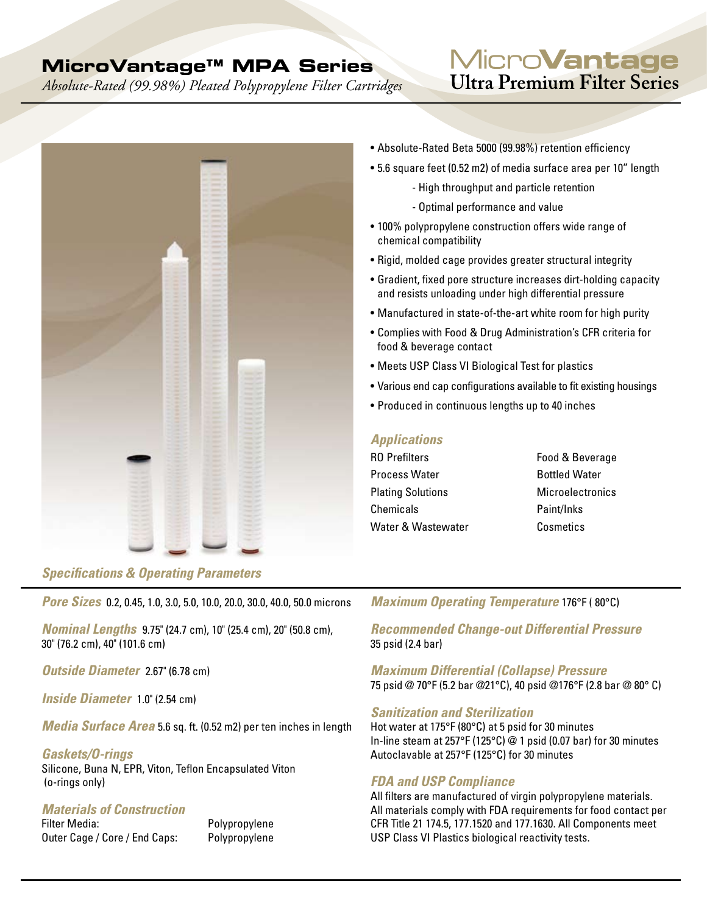## **MicroVantage™ MPA Series**

*Absolute-Rated (99.98%) Pleated Polypropylene Filter Cartridges*

## Micro**Vantage** Ultra Premium Filter Series



#### *Specifications & Operating Parameters*

*Pore Sizes* 0.2, 0.45, 1.0, 3.0, 5.0, 10.0, 20.0, 30.0, 40.0, 50.0 microns

*Nominal Lengths* 9.75" (24.7 cm), 10" (25.4 cm), 20" (50.8 cm), 30" (76.2 cm), 40" (101.6 cm)

*Outside Diameter* 2.67" (6.78 cm)

*Inside Diameter* 1.0" (2.54 cm)

*Media Surface Area* 5.6 sq. ft. (0.52 m2) per ten inches in length

#### *Gaskets/O-rings*

Silicone, Buna N, EPR, Viton, Teflon Encapsulated Viton (o-rings only)

# *Materials of Construction*

Outer Cage / Core / End Caps: Polypropylene

Polypropylene

- Absolute-Rated Beta 5000 (99.98%) retention efficiency
- 5.6 square feet (0.52 m2) of media surface area per 10" length
	- High throughput and particle retention
		- Optimal performance and value
- 100% polypropylene construction offers wide range of chemical compatibility
- Rigid, molded cage provides greater structural integrity
- Gradient, fixed pore structure increases dirt-holding capacity and resists unloading under high differential pressure
- Manufactured in state-of-the-art white room for high purity
- Complies with Food & Drug Administration's CFR criteria for food & beverage contact
- Meets USP Class VI Biological Test for plastics
- • Various end cap configurations available to fit existing housings
- Produced in continuous lengths up to 40 inches

#### *Applications*

RO Prefilters **Food & Beverage** Process Water **Bottled Water Plating Solutions Microelectronics** Chemicals Paint/Inks Water & Wastewater **Cosmetics** 

#### *Maximum Operating Temperature* 176°F ( 80°C)

*Recommended Change-out Differential Pressure*  35 psid (2.4 bar)

*Maximum Differential (Collapse) Pressure*  75 psid @ 70°F (5.2 bar @21°C), 40 psid @176°F (2.8 bar @ 80° C)

#### *Sanitization and Sterilization*

Hot water at 175°F (80°C) at 5 psid for 30 minutes In-line steam at 257°F (125°C) @ 1 psid (0.07 bar) for 30 minutes Autoclavable at 257°F (125°C) for 30 minutes

#### *FDA and USP Compliance*

All filters are manufactured of virgin polypropylene materials. All materials comply with FDA requirements for food contact per CFR Title 21 174.5, 177.1520 and 177.1630. All Components meet USP Class VI Plastics biological reactivity tests.